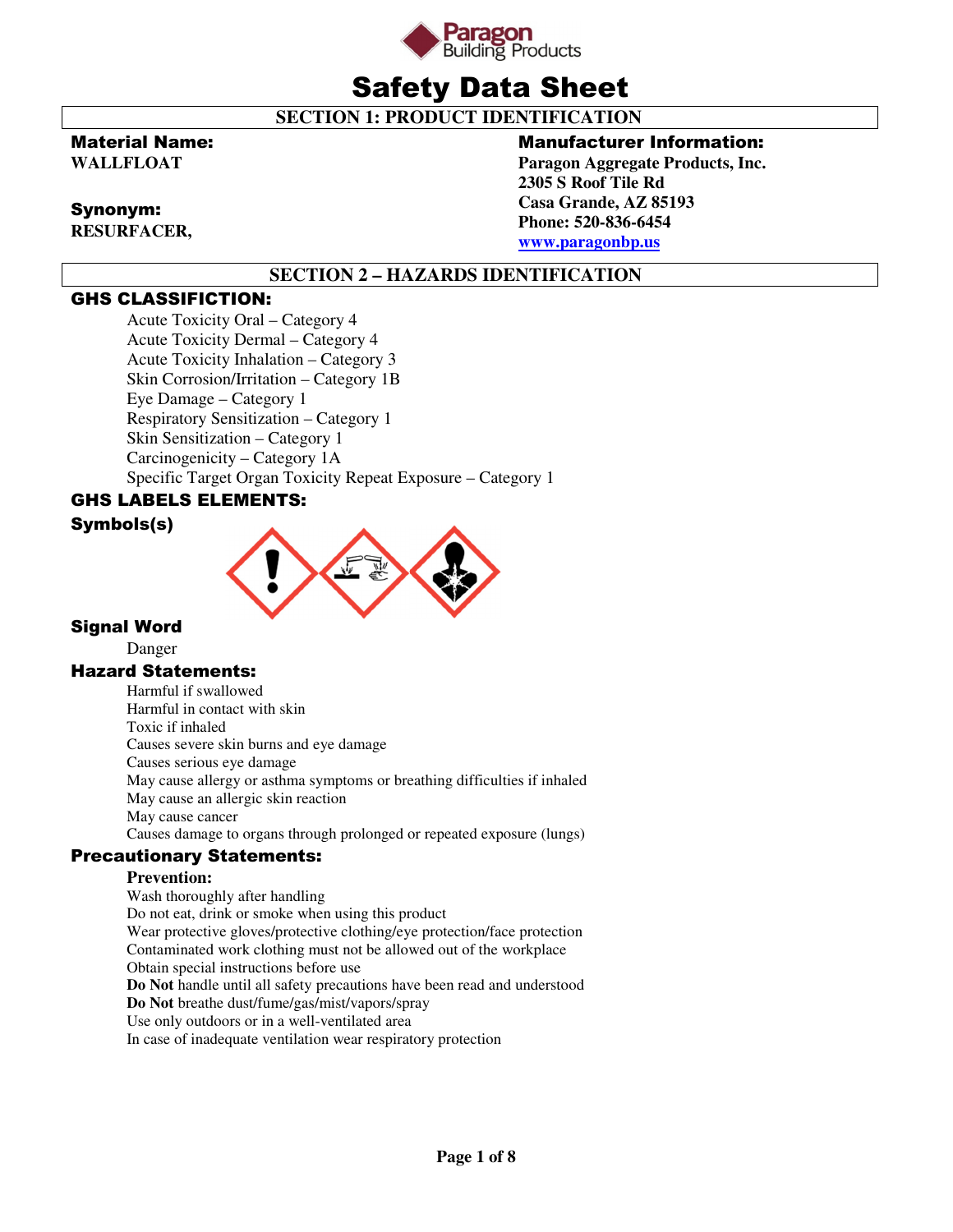

# Safety Data Sheet

 **SECTION 1: PRODUCT IDENTIFICATION** 

### Material Name:

**WALLFLOAT** 

### Synonym:

**RESURFACER,** 

### Manufacturer Information:

**Paragon Aggregate Products, Inc. 2305 S Roof Tile Rd Casa Grande, AZ 85193 Phone: 520-836-6454 www.paragonbp.us**

# **SECTION 2 – HAZARDS IDENTIFICATION**

### GHS CLASSIFICTION:

Acute Toxicity Oral – Category 4 Acute Toxicity Dermal – Category 4 Acute Toxicity Inhalation – Category 3 Skin Corrosion/Irritation – Category 1B Eye Damage – Category 1 Respiratory Sensitization – Category 1 Skin Sensitization – Category 1 Carcinogenicity – Category 1A Specific Target Organ Toxicity Repeat Exposure – Category 1

# GHS LABELS ELEMENTS:

### Symbols(s)



### Signal Word

Danger

### Hazard Statements:

Harmful if swallowed Harmful in contact with skin Toxic if inhaled Causes severe skin burns and eye damage Causes serious eye damage May cause allergy or asthma symptoms or breathing difficulties if inhaled May cause an allergic skin reaction May cause cancer Causes damage to organs through prolonged or repeated exposure (lungs)

### Precautionary Statements:

### **Prevention:**

Wash thoroughly after handling Do not eat, drink or smoke when using this product Wear protective gloves/protective clothing/eye protection/face protection Contaminated work clothing must not be allowed out of the workplace Obtain special instructions before use **Do Not** handle until all safety precautions have been read and understood **Do Not** breathe dust/fume/gas/mist/vapors/spray Use only outdoors or in a well-ventilated area In case of inadequate ventilation wear respiratory protection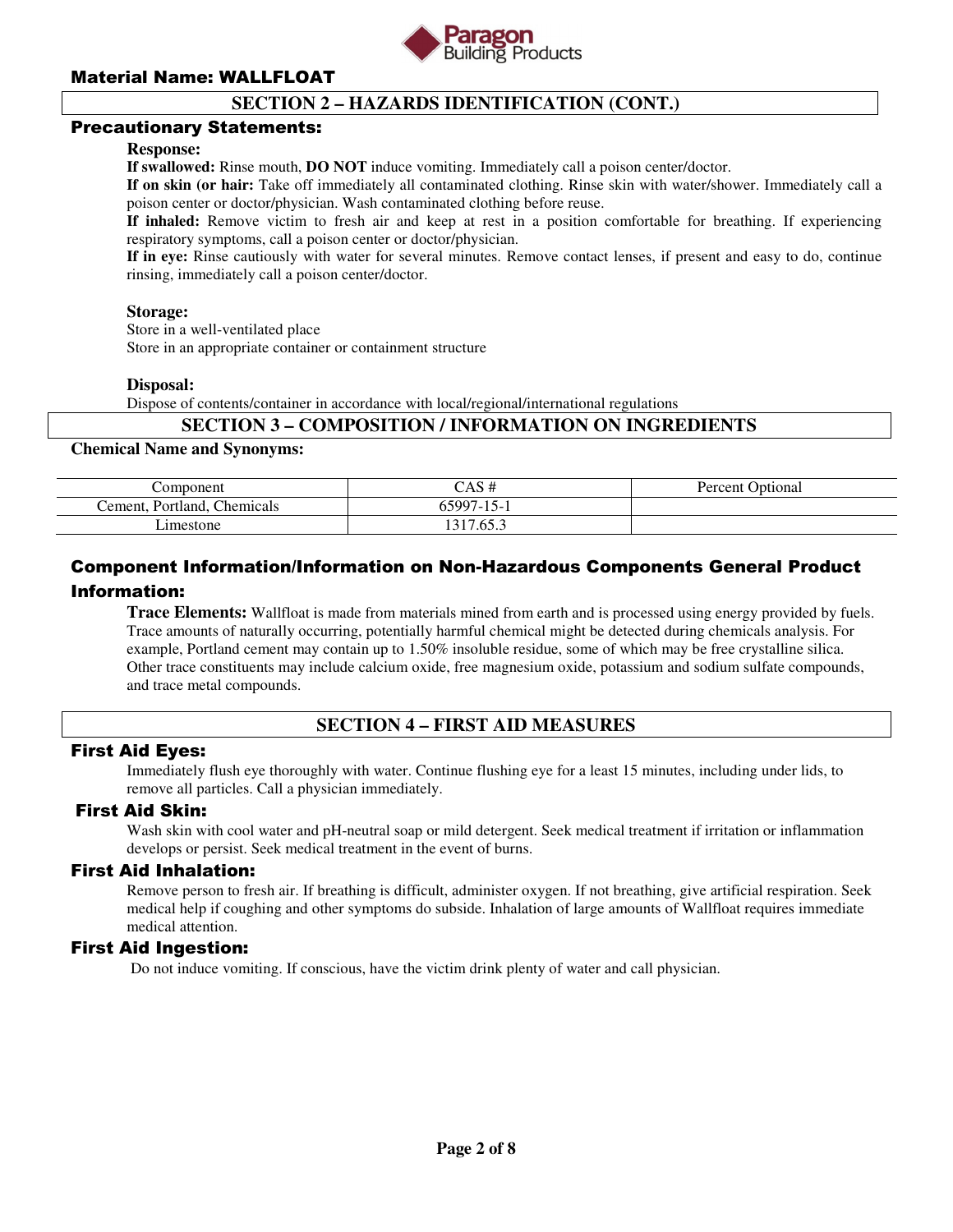

### **SECTION 2 – HAZARDS IDENTIFICATION (CONT.)**

### Precautionary Statements:

### **Response:**

**If swallowed:** Rinse mouth, **DO NOT** induce vomiting. Immediately call a poison center/doctor.

**If on skin (or hair:** Take off immediately all contaminated clothing. Rinse skin with water/shower. Immediately call a poison center or doctor/physician. Wash contaminated clothing before reuse.

**If inhaled:** Remove victim to fresh air and keep at rest in a position comfortable for breathing. If experiencing respiratory symptoms, call a poison center or doctor/physician.

**If in eye:** Rinse cautiously with water for several minutes. Remove contact lenses, if present and easy to do, continue rinsing, immediately call a poison center/doctor.

#### **Storage:**

Store in a well-ventilated place

Store in an appropriate container or containment structure

#### **Disposal:**

Dispose of contents/container in accordance with local/regional/international regulations

### **SECTION 3 – COMPOSITION / INFORMATION ON INGREDIENTS**

#### **Chemical Name and Synonyms:**

| Component                   | CAS #      | Percent Optional |
|-----------------------------|------------|------------------|
| Cement, Portland, Chemicals | 65997-15-1 |                  |
| Limestone                   | 1317.65.3  |                  |

# Component Information/Information on Non-Hazardous Components General Product Information:

**Trace Elements:** Wallfloat is made from materials mined from earth and is processed using energy provided by fuels. Trace amounts of naturally occurring, potentially harmful chemical might be detected during chemicals analysis. For example, Portland cement may contain up to 1.50% insoluble residue, some of which may be free crystalline silica. Other trace constituents may include calcium oxide, free magnesium oxide, potassium and sodium sulfate compounds, and trace metal compounds.

### **SECTION 4 – FIRST AID MEASURES**

### First Aid Eyes:

Immediately flush eye thoroughly with water. Continue flushing eye for a least 15 minutes, including under lids, to remove all particles. Call a physician immediately.

### First Aid Skin:

Wash skin with cool water and pH-neutral soap or mild detergent. Seek medical treatment if irritation or inflammation develops or persist. Seek medical treatment in the event of burns.

### First Aid Inhalation:

Remove person to fresh air. If breathing is difficult, administer oxygen. If not breathing, give artificial respiration. Seek medical help if coughing and other symptoms do subside. Inhalation of large amounts of Wallfloat requires immediate medical attention.

### First Aid Ingestion:

Do not induce vomiting. If conscious, have the victim drink plenty of water and call physician.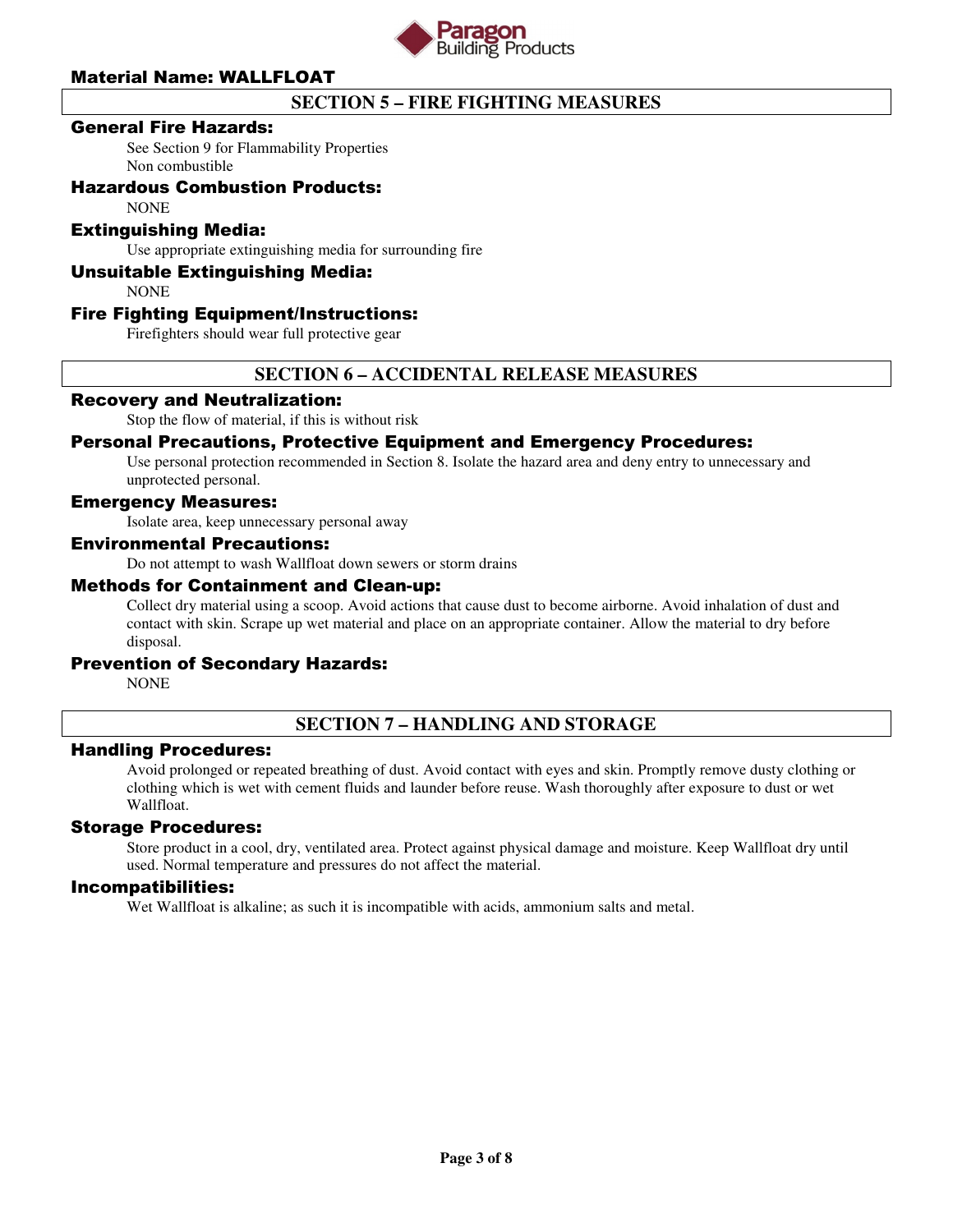

# **SECTION 5 – FIRE FIGHTING MEASURES**

### General Fire Hazards:

See Section 9 for Flammability Properties Non combustible

### Hazardous Combustion Products:

NONE

### Extinguishing Media:

Use appropriate extinguishing media for surrounding fire

### Unsuitable Extinguishing Media:

**NONE** 

### Fire Fighting Equipment/Instructions:

Firefighters should wear full protective gear

### **SECTION 6 – ACCIDENTAL RELEASE MEASURES**

### Recovery and Neutralization:

Stop the flow of material, if this is without risk

### Personal Precautions, Protective Equipment and Emergency Procedures:

Use personal protection recommended in Section 8. Isolate the hazard area and deny entry to unnecessary and unprotected personal.

#### Emergency Measures:

Isolate area, keep unnecessary personal away

### Environmental Precautions:

Do not attempt to wash Wallfloat down sewers or storm drains

#### Methods for Containment and Clean-up:

Collect dry material using a scoop. Avoid actions that cause dust to become airborne. Avoid inhalation of dust and contact with skin. Scrape up wet material and place on an appropriate container. Allow the material to dry before disposal.

### Prevention of Secondary Hazards:

**NONE** 

### **SECTION 7 – HANDLING AND STORAGE**

### Handling Procedures:

Avoid prolonged or repeated breathing of dust. Avoid contact with eyes and skin. Promptly remove dusty clothing or clothing which is wet with cement fluids and launder before reuse. Wash thoroughly after exposure to dust or wet Wallfloat.

### Storage Procedures:

Store product in a cool, dry, ventilated area. Protect against physical damage and moisture. Keep Wallfloat dry until used. Normal temperature and pressures do not affect the material.

#### Incompatibilities:

Wet Wallfloat is alkaline; as such it is incompatible with acids, ammonium salts and metal.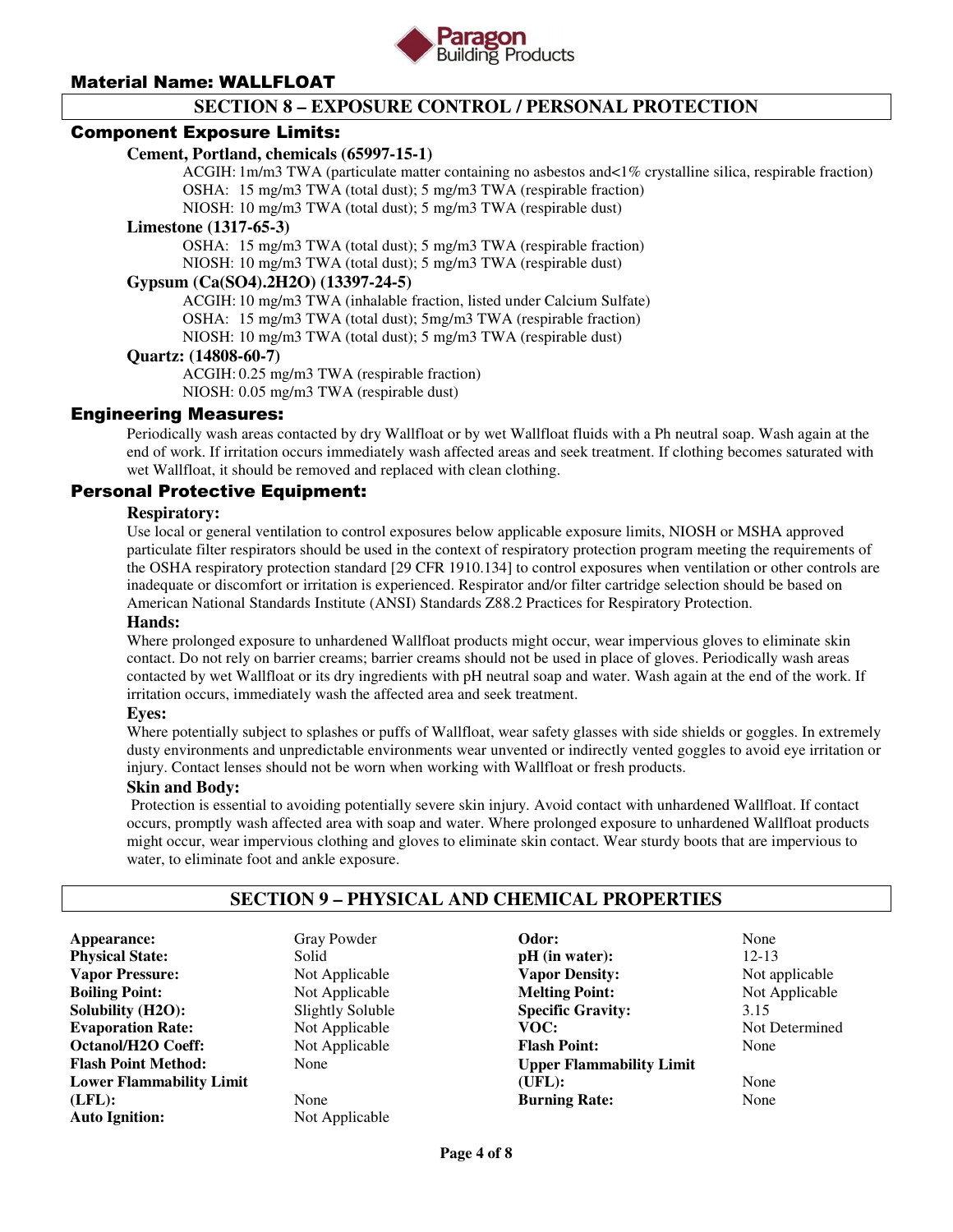

## **SECTION 8 – EXPOSURE CONTROL / PERSONAL PROTECTION**

### Component Exposure Limits:

### **Cement, Portland, chemicals (65997-15-1)**

 ACGIH: 1m/m3 TWA (particulate matter containing no asbestos and<1% crystalline silica, respirable fraction) OSHA: 15 mg/m3 TWA (total dust); 5 mg/m3 TWA (respirable fraction)

NIOSH: 10 mg/m3 TWA (total dust); 5 mg/m3 TWA (respirable dust)

#### **Limestone (1317-65-3)**

 OSHA: 15 mg/m3 TWA (total dust); 5 mg/m3 TWA (respirable fraction) NIOSH: 10 mg/m3 TWA (total dust); 5 mg/m3 TWA (respirable dust)

### **Gypsum (Ca(SO4).2H2O) (13397-24-5)**

 ACGIH: 10 mg/m3 TWA (inhalable fraction, listed under Calcium Sulfate) OSHA: 15 mg/m3 TWA (total dust); 5mg/m3 TWA (respirable fraction) NIOSH: 10 mg/m3 TWA (total dust); 5 mg/m3 TWA (respirable dust)

### **Quartz: (14808-60-7)**

 ACGIH: 0.25 mg/m3 TWA (respirable fraction) NIOSH: 0.05 mg/m3 TWA (respirable dust)

### Engineering Measures:

Periodically wash areas contacted by dry Wallfloat or by wet Wallfloat fluids with a Ph neutral soap. Wash again at the end of work. If irritation occurs immediately wash affected areas and seek treatment. If clothing becomes saturated with wet Wallfloat, it should be removed and replaced with clean clothing.

### Personal Protective Equipment:

### **Respiratory:**

Use local or general ventilation to control exposures below applicable exposure limits, NIOSH or MSHA approved particulate filter respirators should be used in the context of respiratory protection program meeting the requirements of the OSHA respiratory protection standard [29 CFR 1910.134] to control exposures when ventilation or other controls are inadequate or discomfort or irritation is experienced. Respirator and/or filter cartridge selection should be based on American National Standards Institute (ANSI) Standards Z88.2 Practices for Respiratory Protection.

#### **Hands:**

Where prolonged exposure to unhardened Wallfloat products might occur, wear impervious gloves to eliminate skin contact. Do not rely on barrier creams; barrier creams should not be used in place of gloves. Periodically wash areas contacted by wet Wallfloat or its dry ingredients with pH neutral soap and water. Wash again at the end of the work. If irritation occurs, immediately wash the affected area and seek treatment.

#### **Eyes:**

Where potentially subject to splashes or puffs of Wallfloat, wear safety glasses with side shields or goggles. In extremely dusty environments and unpredictable environments wear unvented or indirectly vented goggles to avoid eye irritation or injury. Contact lenses should not be worn when working with Wallfloat or fresh products.

#### **Skin and Body:**

Protection is essential to avoiding potentially severe skin injury. Avoid contact with unhardened Wallfloat. If contact occurs, promptly wash affected area with soap and water. Where prolonged exposure to unhardened Wallfloat products might occur, wear impervious clothing and gloves to eliminate skin contact. Wear sturdy boots that are impervious to water, to eliminate foot and ankle exposure.

## **SECTION 9 – PHYSICAL AND CHEMICAL PROPERTIES**

**Appearance:** Gray Powder **Physical State:** Solid **Vapor Pressure:**<br> **Boiling Point:**<br> **Boiling Point:**<br> **Not Applicable Solubility (H2O):** Slightly Soluble **Evaporation Rate:** Not Applicable **Octanol/H2O Coeff:** Not Applicable **Flash Point Method:** None **Lower Flammability Limit (LFL):** None **Auto Ignition:** Not Applicable

**Not Applicable** 

**Odor:** None **pH** (in water): 12-13 **Vapor Density:** Not applicable **Melting Point:** Not Applicable **Specific Gravity:** 3.15 VOC: Not Determined **Flash Point:** None **Upper Flammability Limit (UFL):** None **Burning Rate:** None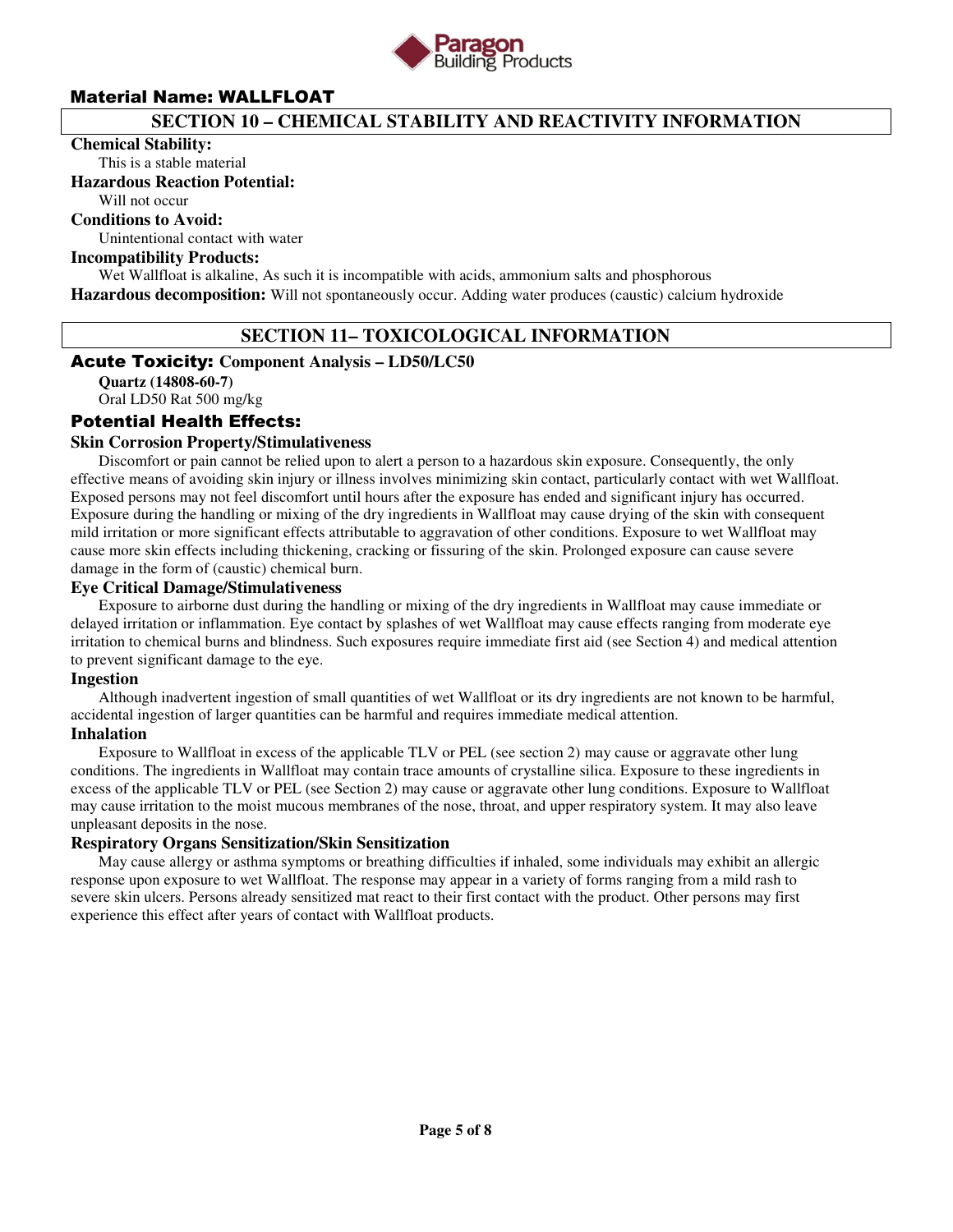

### **SECTION 10 – CHEMICAL STABILITY AND REACTIVITY INFORMATION**

#### **Chemical Stability:**

This is a stable material

### **Hazardous Reaction Potential:**

Will not occur

### **Conditions to Avoid:**

Unintentional contact with water

### **Incompatibility Products:**

Wet Wallfloat is alkaline, As such it is incompatible with acids, ammonium salts and phosphorous **Hazardous decomposition:** Will not spontaneously occur. Adding water produces (caustic) calcium hydroxide

### **SECTION 11– TOXICOLOGICAL INFORMATION**

### Acute Toxicity: **Component Analysis – LD50/LC50**

**Quartz (14808-60-7)** 

Oral LD50 Rat 500 mg/kg

### Potential Health Effects:

### **Skin Corrosion Property/Stimulativeness**

 Discomfort or pain cannot be relied upon to alert a person to a hazardous skin exposure. Consequently, the only effective means of avoiding skin injury or illness involves minimizing skin contact, particularly contact with wet Wallfloat. Exposed persons may not feel discomfort until hours after the exposure has ended and significant injury has occurred. Exposure during the handling or mixing of the dry ingredients in Wallfloat may cause drying of the skin with consequent mild irritation or more significant effects attributable to aggravation of other conditions. Exposure to wet Wallfloat may cause more skin effects including thickening, cracking or fissuring of the skin. Prolonged exposure can cause severe damage in the form of (caustic) chemical burn.

### **Eye Critical Damage/Stimulativeness**

 Exposure to airborne dust during the handling or mixing of the dry ingredients in Wallfloat may cause immediate or delayed irritation or inflammation. Eye contact by splashes of wet Wallfloat may cause effects ranging from moderate eye irritation to chemical burns and blindness. Such exposures require immediate first aid (see Section 4) and medical attention to prevent significant damage to the eye.

### **Ingestion**

 Although inadvertent ingestion of small quantities of wet Wallfloat or its dry ingredients are not known to be harmful, accidental ingestion of larger quantities can be harmful and requires immediate medical attention.

### **Inhalation**

 Exposure to Wallfloat in excess of the applicable TLV or PEL (see section 2) may cause or aggravate other lung conditions. The ingredients in Wallfloat may contain trace amounts of crystalline silica. Exposure to these ingredients in excess of the applicable TLV or PEL (see Section 2) may cause or aggravate other lung conditions. Exposure to Wallfloat may cause irritation to the moist mucous membranes of the nose, throat, and upper respiratory system. It may also leave unpleasant deposits in the nose.

### **Respiratory Organs Sensitization/Skin Sensitization**

 May cause allergy or asthma symptoms or breathing difficulties if inhaled, some individuals may exhibit an allergic response upon exposure to wet Wallfloat. The response may appear in a variety of forms ranging from a mild rash to severe skin ulcers. Persons already sensitized mat react to their first contact with the product. Other persons may first experience this effect after years of contact with Wallfloat products.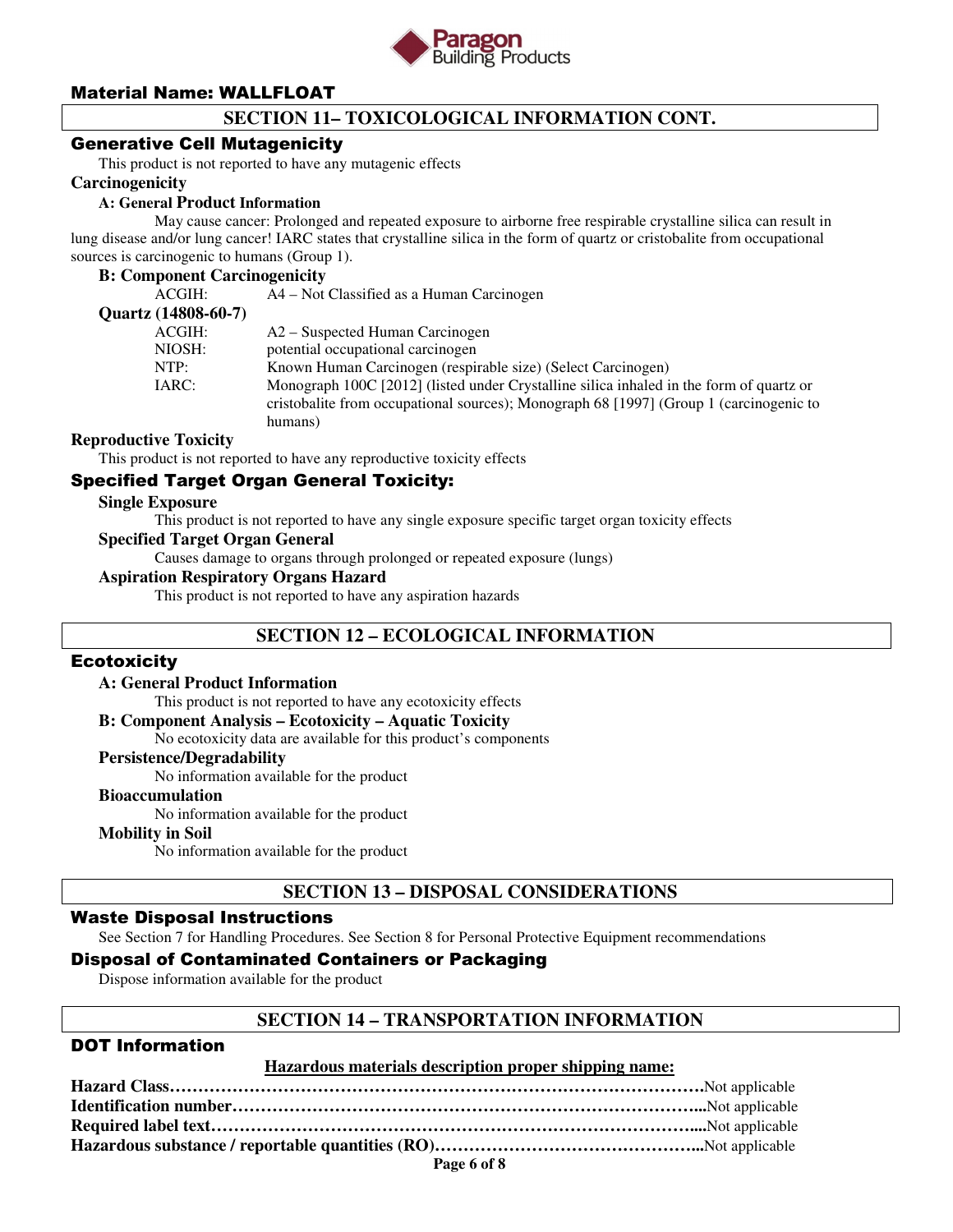

# **SECTION 11– TOXICOLOGICAL INFORMATION CONT.**

### Generative Cell Mutagenicity

This product is not reported to have any mutagenic effects

### **Carcinogenicity**

### **A: General Product Information**

May cause cancer: Prolonged and repeated exposure to airborne free respirable crystalline silica can result in lung disease and/or lung cancer! IARC states that crystalline silica in the form of quartz or cristobalite from occupational sources is carcinogenic to humans (Group 1).

#### **B: Component Carcinogenicity**

| ACGIH:              | A4 – Not Classified as a Human Carcinogen                                               |
|---------------------|-----------------------------------------------------------------------------------------|
| Quartz (14808-60-7) |                                                                                         |
| ACGIH:              | A2 – Suspected Human Carcinogen                                                         |
| NIOSH:              | potential occupational carcinogen                                                       |
| NTP:                | Known Human Carcinogen (respirable size) (Select Carcinogen)                            |
| IARC:               | Monograph 100C [2012] (listed under Crystalline silica inhaled in the form of quartz or |
|                     | cristobalite from occupational sources); Monograph 68 [1997] (Group 1 (carcinogenic to  |
|                     | humans)                                                                                 |
|                     |                                                                                         |

### **Reproductive Toxicity**

This product is not reported to have any reproductive toxicity effects

# Specified Target Organ General Toxicity:

#### **Single Exposure**

This product is not reported to have any single exposure specific target organ toxicity effects

### **Specified Target Organ General**

Causes damage to organs through prolonged or repeated exposure (lungs)

#### **Aspiration Respiratory Organs Hazard**

This product is not reported to have any aspiration hazards

### **SECTION 12 – ECOLOGICAL INFORMATION**

### **Ecotoxicity**

#### **A: General Product Information**

This product is not reported to have any ecotoxicity effects

#### **B: Component Analysis – Ecotoxicity – Aquatic Toxicity**

No ecotoxicity data are available for this product's components

#### **Persistence/Degradability**

No information available for the product

#### **Bioaccumulation**

No information available for the product

### **Mobility in Soil**

No information available for the product

### **SECTION 13 – DISPOSAL CONSIDERATIONS**

### Waste Disposal Instructions

See Section 7 for Handling Procedures. See Section 8 for Personal Protective Equipment recommendations

### Disposal of Contaminated Containers or Packaging

Dispose information available for the product

### **SECTION 14 – TRANSPORTATION INFORMATION**

### DOT Information

#### **Hazardous materials description proper shipping name:**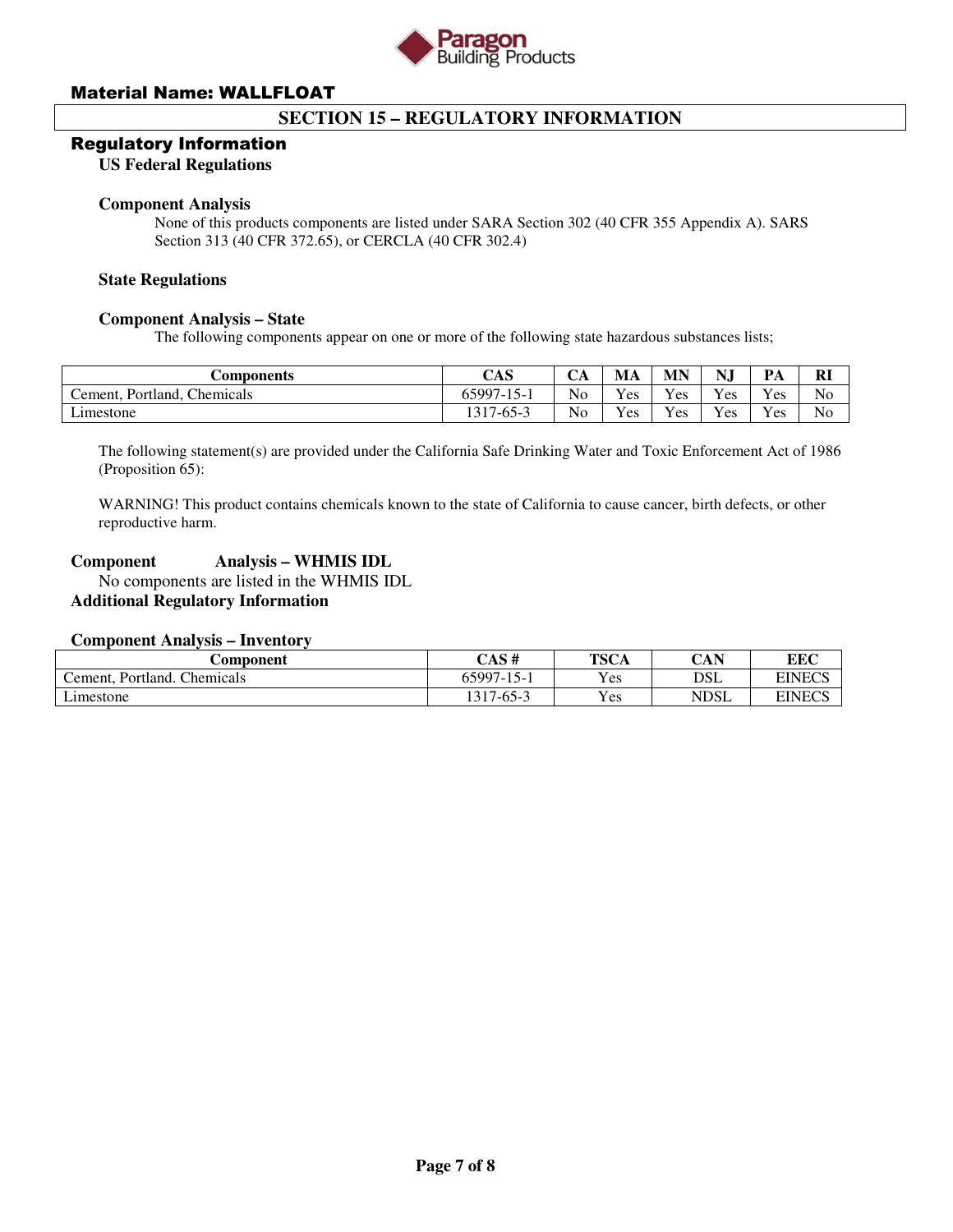

## **SECTION 15 – REGULATORY INFORMATION**

#### Regulatory Information

#### **US Federal Regulations**

### **Component Analysis**

None of this products components are listed under SARA Section 302 (40 CFR 355 Appendix A). SARS Section 313 (40 CFR 372.65), or CERCLA (40 CFR 302.4)

#### **State Regulations**

#### **Component Analysis – State**

The following components appear on one or more of the following state hazardous substances lists;

| <b>Components</b>                                    | CAS                  | ◡◠             | МA  | MN  | NJ  | PА       | <b>RI</b>      |
|------------------------------------------------------|----------------------|----------------|-----|-----|-----|----------|----------------|
| <b>Chemicals</b><br>Portland.<br>$C$ ement. $\prime$ | 65997-1<br>$15 -$    | No             | Yes | Yes | Yes | Yes      | N <sub>o</sub> |
| $\angle$ imestone                                    | $1 - 65 - ?$<br>1317 | N <sub>0</sub> | Yes | Yes | Yes | $v_{es}$ | No             |

The following statement(s) are provided under the California Safe Drinking Water and Toxic Enforcement Act of 1986 (Proposition 65):

WARNING! This product contains chemicals known to the state of California to cause cancer, birth defects, or other reproductive harm.

### **Component Analysis – WHMIS IDL**

 No components are listed in the WHMIS IDL **Additional Regulatory Information** 

### **Component Analysis – Inventory**

| Component                              | CAS#             | <b>TSCA</b> | CAN         | <b>EEC</b>    |
|----------------------------------------|------------------|-------------|-------------|---------------|
| Chemicals<br>Portland.<br>$L$ ement. P | $65997 - 15 - 1$ | Yes         | DSL         | <b>EINECS</b> |
| Limestone                              | 1317-65-3        | Yes         | <b>NDSL</b> | <b>EINECS</b> |